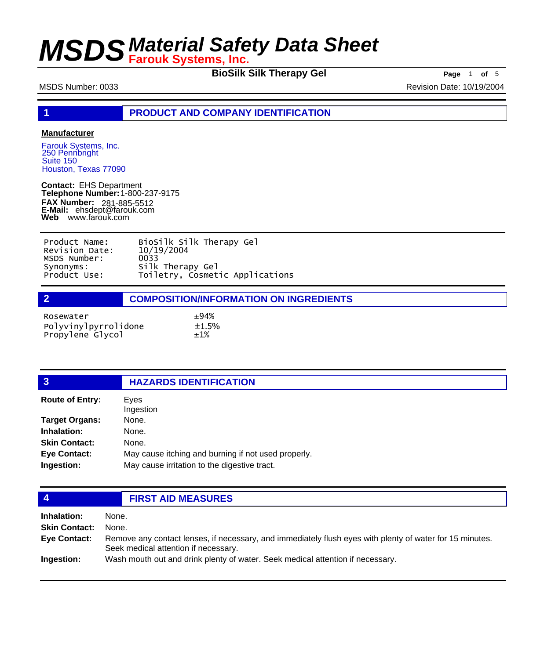**BioSilk Silk Therapy Gel** Page 1 of 5

MSDS Number: 0033 Revision Date: 10/19/2004

**1 PRODUCT AND COMPANY IDENTIFICATION**

#### **Manufacturer**

Farouk Systems, Inc. 250 Pennbright Suite 150 Houston, Texas 77090

**Contact:** EHS Department **Telephone Number:** 1-800-237-9175 **FAX Number: FAX Number:** 281-885-5512<br>**E-Mail:** ehsdept@farouk.com **Web** www.farouk.com

| Product Name:  | BioSilk Silk Therapy Gel        |
|----------------|---------------------------------|
| Revision Date: | 10/19/2004                      |
| MSDS Number:   | 0033                            |
| Synonyms:      | Silk Therapy Gel                |
| Product Use:   | Toiletry, Cosmetic Applications |

| Rosewater                                | ±94%         |
|------------------------------------------|--------------|
| Polyvinylpyrrolidone<br>Propylene Glycol | ±1.5%<br>±1% |

| <b>HAZARDS IDENTIFICATION</b> |
|-------------------------------|
|                               |

| <b>Route of Entry:</b> | Eyes<br>Ingestion                                   |
|------------------------|-----------------------------------------------------|
| <b>Target Organs:</b>  | None.                                               |
|                        |                                                     |
| Inhalation:            | None.                                               |
| <b>Skin Contact:</b>   | None.                                               |
| <b>Eye Contact:</b>    | May cause itching and burning if not used properly. |
| Ingestion:             | May cause irritation to the digestive tract.        |
|                        |                                                     |

### **4 FIRST AID MEASURES**

| Inhalation:          | None.                                                                                                                                            |
|----------------------|--------------------------------------------------------------------------------------------------------------------------------------------------|
| <b>Skin Contact:</b> | None.                                                                                                                                            |
| Eye Contact:         | Remove any contact lenses, if necessary, and immediately flush eyes with plenty of water for 15 minutes.<br>Seek medical attention if necessary. |
| Ingestion:           | Wash mouth out and drink plenty of water. Seek medical attention if necessary.                                                                   |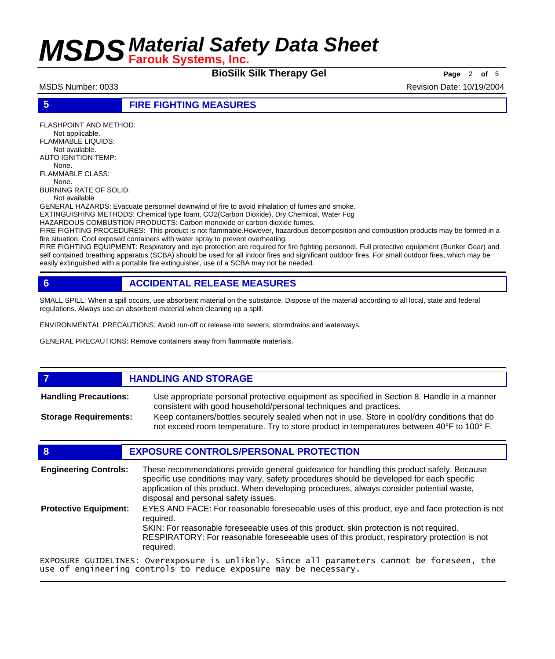**BioSilk Silk Therapy Gel Page** <sup>2</sup> **of** <sup>5</sup>

MSDS Number: 0033 **Revision Date: 10/19/2004** Revision Date: 10/19/2004

**5 FIRE FIGHTING MEASURES**

FLASHPOINT AND METHOD: Not applicable. FLAMMABLE LIQUIDS: Not available. AUTO IGNITION TEMP: None. FLAMMABLE CLASS: None. BURNING RATE OF SOLID: Not available GENERAL HAZARDS: Evacuate personnel downwind of fire to avoid inhalation of fumes and smoke.

EXTINGUISHING METHODS: Chemical type foam, CO2(Carbon Dioxide), Dry Chemical, Water Fog HAZARDOUS COMBUSTION PRODUCTS: Carbon monoxide or carbon dioxide fumes.

FIRE FIGHTING PROCEDURES: This product is not flammable.However, hazardous decomposition and combustion products may be formed in a fire situation. Cool exposed containers with water spray to prevent overheating.

FIRE FIGHTING EQUIPMENT: Respiratory and eye protection are required for fire fighting personnel. Full protective equipment (Bunker Gear) and self contained breathing apparatus (SCBA) should be used for all indoor fires and significant outdoor fires. For small outdoor fires, which may be easily extinguished with a portable fire extinguisher, use of a SCBA may not be needed.

### **6 ACCIDENTAL RELEASE MEASURES**

SMALL SPILL: When a spill occurs, use absorbent material on the substance. Dispose of the material according to all local, state and federal regulations. Always use an absorbent material when cleaning up a spill.

ENVIRONMENTAL PRECAUTIONS: Avoid run-off or release into sewers, stormdrains and waterways.

GENERAL PRECAUTIONS: Remove containers away from flammable materials.

#### *HANDLING AND STORAGE*

Use appropriate personal protective equipment as specified in Section 8. Handle in a manner consistent with good household/personal techniques and practices. **Handling Precautions:** Keep containers/bottles securely sealed when not in use. Store in cool/dry conditions that do **Storage Requirements:**

not exceed room temperature. Try to store product in temperatures between 40°F to 100° F.

#### **8 EXPOSURE CONTROLS/PERSONAL PROTECTION**

These recommendations provide general guideance for handling this product safely. Because specific use conditions may vary, safety procedures should be developed for each specific application of this product. When developing procedures, always consider potential waste, disposal and personal safety issues. **Engineering Controls:** EYES AND FACE: For reasonable foreseeable uses of this product, eye and face protection is not required. SKIN: For reasonable foreseeable uses of this product, skin protection is not required. RESPIRATORY: For reasonable foreseeable uses of this product, respiratory protection is not required. **Protective Equipment:**

EXPOSURE GUIDELINES: Overexposure is unlikely. Since all parameters cannot be foreseen, the use of engineering controls to reduce exposure may be necessary.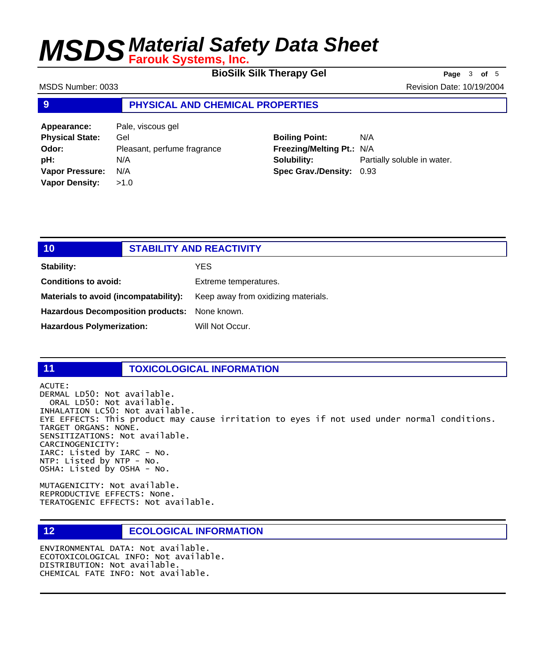**BioSilk Silk Therapy Gel Page** <sup>3</sup> **of** <sup>5</sup>

MSDS Number: 0033 **Revision Date: 10/19/2004** Revision Date: 10/19/2004

#### **9 PHYSICAL AND CHEMICAL PROPERTIES**

**Appearance:** Pale, viscous gel **Physical State:** Gel **Odor:** Pleasant, perfume fragrance **pH:** N/A **Vapor Pressure:** N/A **Vapor Density:** >1.0

### **Boiling Point:** N/A

**Freezing/Melting Pt.:** N/A **Solubility:** Partially soluble in water. **Spec Grav./Density:** 0.93

### **10 STABILITY AND REACTIVITY Stability:** YES **Conditions to avoid:** Extreme temperatures. **Materials to avoid (incompatability):** Keep away from oxidizing materials. **Hazardous Decomposition products:** None known. Hazardous Polymerization: Will Not Occur.

#### **11 TOXICOLOGICAL INFORMATION**

ACUTE: DERMAL LD50: Not available. ORAL LD50: Not available. INHALATION LC50: Not available. EYE EFFECTS: This product may cause irritation to eyes if not used under normal conditions. TARGET ORGANS: NONE. SENSITIZATIONS: Not available. CARCINOGENICITY: IARC: Listed by IARC - No. NTP: Listed by NTP - No. OSHA: Listed by OSHA - No.

MUTAGENICITY: Not available. REPRODUCTIVE EFFECTS: None. TERATOGENIC EFFECTS: Not available.

### **12 ECOLOGICAL INFORMATION**

ENVIRONMENTAL DATA: Not available. ECOTOXICOLOGICAL INFO: Not available. DISTRIBUTION: Not available. CHEMICAL FATE INFO: Not available.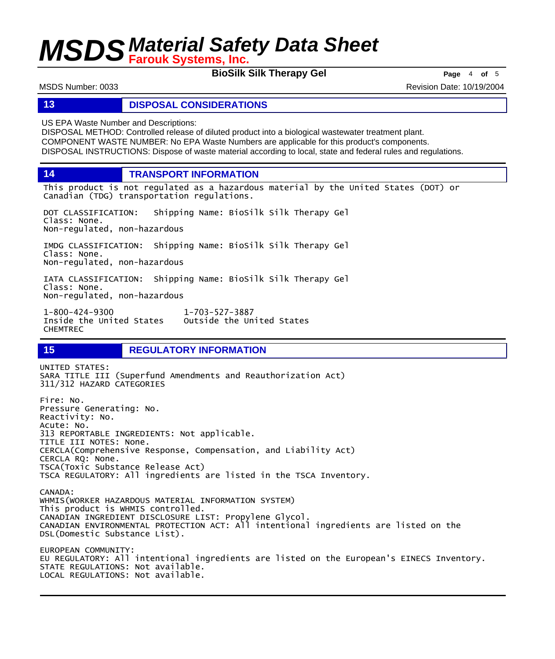**BioSilk Silk Therapy Gel Page** <sup>4</sup> **of** <sup>5</sup>

MSDS Number: 0033 **Revision Date: 10/19/2004** Revision Date: 10/19/2004

#### **13 DISPOSAL CONSIDERATIONS**

US EPA Waste Number and Descriptions:

DISPOSAL METHOD: Controlled release of diluted product into a biological wastewater treatment plant. COMPONENT WASTE NUMBER: No EPA Waste Numbers are applicable for this product's components. DISPOSAL INSTRUCTIONS: Dispose of waste material according to local, state and federal rules and regulations.

**14 TRANSPORT INFORMATION**

This product is not regulated as a hazardous material by the United States (DOT) or Canadian (TDG) transportation regulations.

DOT CLASSIFICATION: Shipping Name: BioSilk Silk Therapy Gel Class: None. Non-regulated, non-hazardous

IMDG CLASSIFICATION: Shipping Name: BioSilk Silk Therapy Gel Class: None. Non-regulated, non-hazardous

IATA CLASSIFICATION: Shipping Name: BioSilk Silk Therapy Gel Class: None. Non-regulated, non-hazardous

1-800-424-9300 1-703-527-3887 Outside the United States CHEMTREC

### **15 REGULATORY INFORMATION**

UNITED STATES: SARA TITLE III (Superfund Amendments and Reauthorization Act) 311/312 HAZARD CATEGORIES Fire: No. Pressure Generating: No. Reactivity: No. Acute: No. 313 REPORTABLE INGREDIENTS: Not applicable. TITLE III NOTES: None. CERCLA(Comprehensive Response, Compensation, and Liability Act) CERCLA RQ: None. TSCA(Toxic Substance Release Act) TSCA REGULATORY: All ingredients are listed in the TSCA Inventory. CANADA: WHMIS(WORKER HAZARDOUS MATERIAL INFORMATION SYSTEM) This product is WHMIS controlled. CANADIAN INGREDIENT DISCLOSURE LIST: Propylene Glycol. CANADIAN ENVIRONMENTAL PROTECTION ACT: All intentional ingredients are listed on the DSL(Domestic Substance List). EUROPEAN COMMUNITY: EU REGULATORY: All intentional ingredients are listed on the European's EINECS Inventory. STATE REGULATIONS: Not available. LOCAL REGULATIONS: Not available.